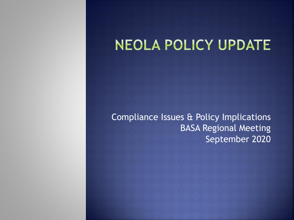## NEOLA POLICY UPDATE

Compliance Issues & Policy Implications BASA Regional Meeting September 2020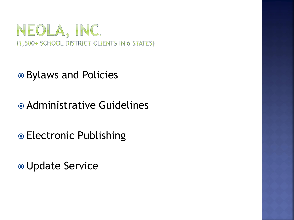

- Bylaws and Policies
- Administrative Guidelines
- Electronic Publishing
- Update Service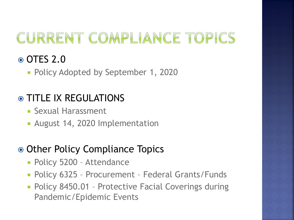# CURRENT COMPLIANCE TOPICS

### OTES 2.0

**- Policy Adopted by September 1, 2020** 

### TITLE IX REGULATIONS

- **Sexual Harassment**
- **August 14, 2020 Implementation**

### • Other Policy Compliance Topics

- **Policy 5200 Attendance**
- Policy 6325 Procurement Federal Grants/Funds
- **Policy 8450.01 Protective Facial Coverings during** Pandemic/Epidemic Events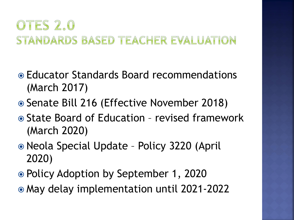## OTES 2.0 STANDARDS BASED TEACHER EVALUATION

- Educator Standards Board recommendations (March 2017)
- Senate Bill 216 (Effective November 2018)
- **State Board of Education revised framework** (March 2020)
- Neola Special Update Policy 3220 (April 2020)
- Policy Adoption by September 1, 2020
- May delay implementation until 2021-2022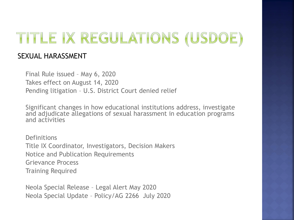# TITLE IX REGULATIONS (USDOE)

#### SEXUAL HARASSMENT

Final Rule issued – May 6, 2020 Takes effect on August 14, 2020 Pending litigation – U.S. District Court denied relief

Significant changes in how educational institutions address, investigate and adjudicate allegations of sexual harassment in education programs and activities

**Definitions** Title IX Coordinator, Investigators, Decision Makers Notice and Publication Requirements Grievance Process Training Required

Neola Special Release – Legal Alert May 2020 Neola Special Update – Policy/AG 2266 July 2020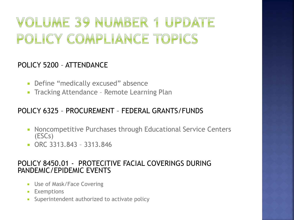## VOLUME 39 NUMBER 1 UPDATE POLICY COMPLIANCE TOPICS

#### POLICY 5200 – ATTENDANCE

- **-** Define "medically excused" absence
- **Tracking Attendance Remote Learning Plan**

#### POLICY 6325 – PROCUREMENT – FEDERAL GRANTS/FUNDS

- **Noncompetitive Purchases through Educational Service Centers** (ESCs)
- ORC 3313.843 3313.846

#### POLICY 8450.01 - PROTECITIVE FACIAL COVERINGS DURING PANDEMIC/EPIDEMIC EVENTS

- **Use of Mask/Face Covering**
- **Exemptions**
- Superintendent authorized to activate policy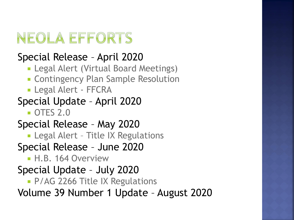# NEOLA EFFORTS

## Special Release – April 2020

- **Legal Alert (Virtual Board Meetings)**
- **EXECONTERGHANGE CONTINGER** Contingency Plan Sample Resolution
- Legal Alert FFCRA

## Special Update – April 2020

**OTES 2.0** 

## Special Release – May 2020

**- Legal Alert - Title IX Regulations** 

Special Release – June 2020

**H.B. 164 Overview** 

## Special Update – July 2020

**P/AG 2266 Title IX Regulations** 

Volume 39 Number 1 Update – August 2020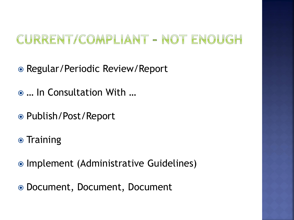## CURRENT/COMPLIANT - NOT ENOUGH

● Regular/Periodic Review/Report

- … In Consultation With …
- Publish/Post/Report
- Training
- Implement (Administrative Guidelines)
- Document, Document, Document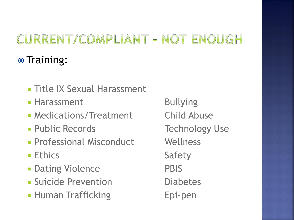## CURRENT/COMPLIANT - NOT ENOUGH **◎ Training:**

- **Title IX Sexual Harassment**
- **Harassment** Bullying
- Medications/Treatment Child Abuse
- **Public Records** Technology Use
- **Professional Misconduct Wellness**
- **Ethics** Safety
- **Dating Violence** PBIS
- **Suicide Prevention Diabetes**
- **Human Trafficking Fig. 2016** Epi-pen